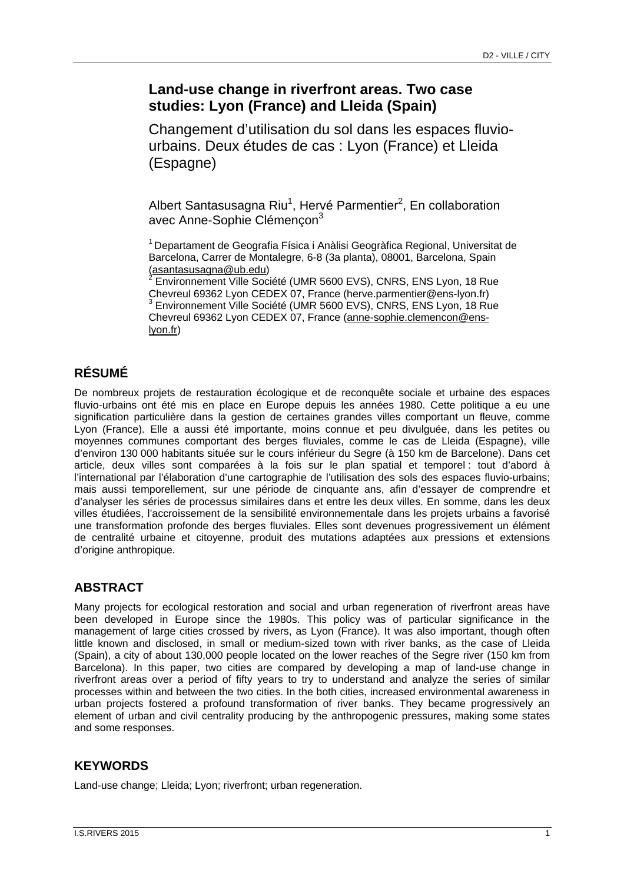# **Land-use change in riverfront areas. Two case studies: Lyon (France) and Lleida (Spain)**

Changement d'utilisation du sol dans les espaces fluviourbains. Deux études de cas : Lyon (France) et Lleida (Espagne)

Albert Santasusagna Riu<sup>1</sup>, Hervé Parmentier<sup>2</sup>, En collaboration avec Anne-Sophie Clémencon<sup>3</sup>

1 Departament de Geografia Física i Anàlisi Geogràfica Regional, Universitat de Barcelona, Carrer de Montalegre, 6-8 (3a planta), 08001, Barcelona, Spain (asantasusagna@ub.edu) 2

 Environnement Ville Société (UMR 5600 EVS), CNRS, ENS Lyon, 18 Rue Chevreul 69362 Lyon CEDEX 07, France (herve.parmentier@ens-lyon.fr) 3 <sup>3</sup> Environnement Ville Société (UMR 5600 EVS), CNRS, ENS Lyon, 18 Rue Chevreul 69362 Lyon CEDEX 07, France (anne-sophie.clemencon@enslyon.fr)

# **RÉSUMÉ**

De nombreux projets de restauration écologique et de reconquête sociale et urbaine des espaces fluvio-urbains ont été mis en place en Europe depuis les années 1980. Cette politique a eu une signification particulière dans la gestion de certaines grandes villes comportant un fleuve, comme Lyon (France). Elle a aussi été importante, moins connue et peu divulguée, dans les petites ou moyennes communes comportant des berges fluviales, comme le cas de Lleida (Espagne), ville d'environ 130 000 habitants située sur le cours inférieur du Segre (à 150 km de Barcelone). Dans cet article, deux villes sont comparées à la fois sur le plan spatial et temporel : tout d'abord à l'international par l'élaboration d'une cartographie de l'utilisation des sols des espaces fluvio-urbains: mais aussi temporellement, sur une période de cinquante ans, afin d'essayer de comprendre et d'analyser les séries de processus similaires dans et entre les deux villes. En somme, dans les deux villes étudiées, l'accroissement de la sensibilité environnementale dans les projets urbains a favorisé une transformation profonde des berges fluviales. Elles sont devenues progressivement un élément de centralité urbaine et citoyenne, produit des mutations adaptées aux pressions et extensions d'origine anthropique.

## **ABSTRACT**

Many projects for ecological restoration and social and urban regeneration of riverfront areas have been developed in Europe since the 1980s. This policy was of particular significance in the management of large cities crossed by rivers, as Lyon (France). It was also important, though often little known and disclosed, in small or medium-sized town with river banks, as the case of Lleida (Spain), a city of about 130,000 people located on the lower reaches of the Segre river (150 km from Barcelona). In this paper, two cities are compared by developing a map of land-use change in riverfront areas over a period of fifty years to try to understand and analyze the series of similar processes within and between the two cities. In the both cities, increased environmental awareness in urban projects fostered a profound transformation of river banks. They became progressively an element of urban and civil centrality producing by the anthropogenic pressures, making some states and some responses.

### **KEYWORDS**

Land-use change; Lleida; Lyon; riverfront; urban regeneration.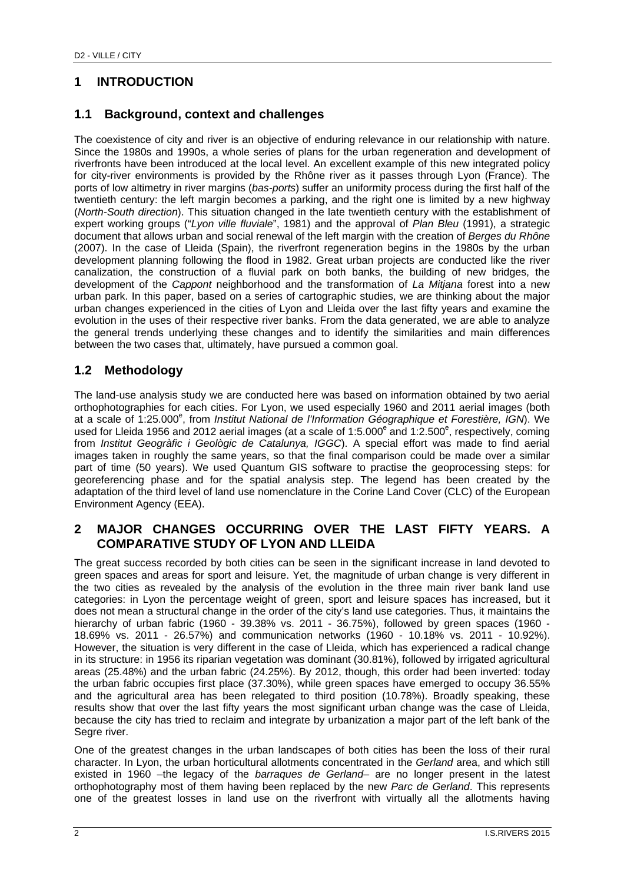# **1 INTRODUCTION**

## **1.1 Background, context and challenges**

The coexistence of city and river is an objective of enduring relevance in our relationship with nature. Since the 1980s and 1990s, a whole series of plans for the urban regeneration and development of riverfronts have been introduced at the local level. An excellent example of this new integrated policy for city-river environments is provided by the Rhône river as it passes through Lyon (France). The ports of low altimetry in river margins (*bas-ports*) suffer an uniformity process during the first half of the twentieth century: the left margin becomes a parking, and the right one is limited by a new highway (*North-South direction*). This situation changed in the late twentieth century with the establishment of expert working groups ("*Lyon ville fluviale*", 1981) and the approval of *Plan Bleu* (1991), a strategic document that allows urban and social renewal of the left margin with the creation of *Berges du Rhône* (2007). In the case of Lleida (Spain), the riverfront regeneration begins in the 1980s by the urban development planning following the flood in 1982. Great urban projects are conducted like the river canalization, the construction of a fluvial park on both banks, the building of new bridges, the development of the *Cappont* neighborhood and the transformation of *La Mitjana* forest into a new urban park. In this paper, based on a series of cartographic studies, we are thinking about the major urban changes experienced in the cities of Lyon and Lleida over the last fifty years and examine the evolution in the uses of their respective river banks. From the data generated, we are able to analyze the general trends underlying these changes and to identify the similarities and main differences between the two cases that, ultimately, have pursued a common goal.

## **1.2 Methodology**

The land-use analysis study we are conducted here was based on information obtained by two aerial orthophotographies for each cities. For Lyon, we used especially 1960 and 2011 aerial images (both at a scale of 1:25.000<sup>e</sup>, from *Institut National de l'Information Géographique et Forestière, IGN*). We used for Lleida 1956 and 2012 aerial images (at a scale of 1:5.000 $^{\circ}$  and 1:2.500 $^{\circ}$ , respectively, coming from *Institut Geogràfic i Geològic de Catalunya, IGGC*). A special effort was made to find aerial images taken in roughly the same years, so that the final comparison could be made over a similar part of time (50 years). We used Quantum GIS software to practise the geoprocessing steps: for georeferencing phase and for the spatial analysis step. The legend has been created by the adaptation of the third level of land use nomenclature in the Corine Land Cover (CLC) of the European Environment Agency (EEA).

#### **2 MAJOR CHANGES OCCURRING OVER THE LAST FIFTY YEARS. A COMPARATIVE STUDY OF LYON AND LLEIDA**

The great success recorded by both cities can be seen in the significant increase in land devoted to green spaces and areas for sport and leisure. Yet, the magnitude of urban change is very different in the two cities as revealed by the analysis of the evolution in the three main river bank land use categories: in Lyon the percentage weight of green, sport and leisure spaces has increased, but it does not mean a structural change in the order of the city's land use categories. Thus, it maintains the hierarchy of urban fabric (1960 - 39.38% vs. 2011 - 36.75%), followed by green spaces (1960 - 18.69% vs. 2011 - 26.57%) and communication networks (1960 - 10.18% vs. 2011 - 10.92%). However, the situation is very different in the case of Lleida, which has experienced a radical change in its structure: in 1956 its riparian vegetation was dominant (30.81%), followed by irrigated agricultural areas (25.48%) and the urban fabric (24.25%). By 2012, though, this order had been inverted: today the urban fabric occupies first place (37.30%), while green spaces have emerged to occupy 36.55% and the agricultural area has been relegated to third position (10.78%). Broadly speaking, these results show that over the last fifty years the most significant urban change was the case of Lleida, because the city has tried to reclaim and integrate by urbanization a major part of the left bank of the Segre river.

One of the greatest changes in the urban landscapes of both cities has been the loss of their rural character. In Lyon, the urban horticultural allotments concentrated in the *Gerland* area, and which still existed in 1960 –the legacy of the *barraques de Gerland*– are no longer present in the latest orthophotography most of them having been replaced by the new *Parc de Gerland*. This represents one of the greatest losses in land use on the riverfront with virtually all the allotments having